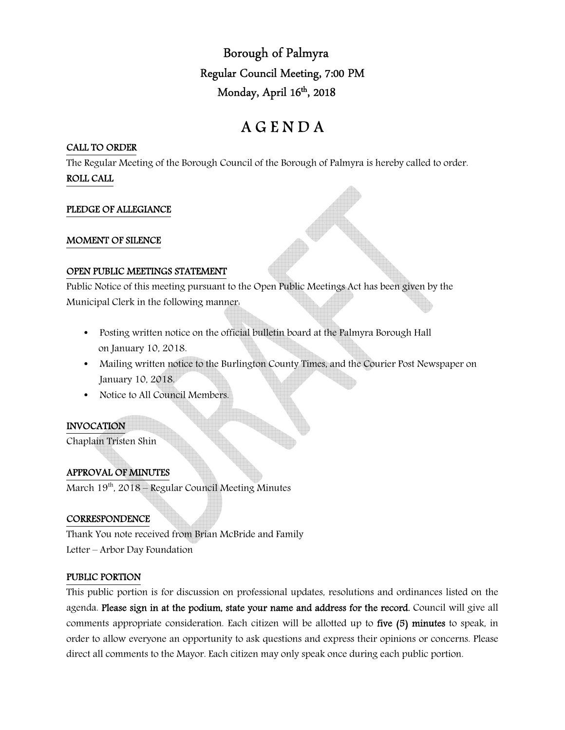Borough of Palmyra Regular Council Meeting, 7:00 PM Monday, April 16<sup>th</sup>, 2018

# A G E N D A

## CALL TO ORDER

The Regular Meeting of the Borough Council of the Borough of Palmyra is hereby called to order. ROLL CALL

## PLEDGE OF ALLEGIANCE

### MOMENT OF SILENCE

#### OPEN PUBLIC MEETINGS STATEMENT

Public Notice of this meeting pursuant to the Open Public Meetings Act has been given by the Municipal Clerk in the following manner:

- Posting written notice on the official bulletin board at the Palmyra Borough Hall on January 10, 2018.
- Mailing written notice to the Burlington County Times, and the Courier Post Newspaper on January 10, 2018.
- Notice to All Council Members.

## INVOCATION

Chaplain Tristen Shin

## APPROVAL OF MINUTES

March 19<sup>th</sup>, 2018 – Regular Council Meeting Minutes

## **CORRESPONDENCE**

Thank You note received from Brian McBride and Family Letter – Arbor Day Foundation

#### PUBLIC PORTION

This public portion is for discussion on professional updates, resolutions and ordinances listed on the agenda. Please sign in at the podium, state your name and address for the record. Council will give all comments appropriate consideration. Each citizen will be allotted up to five (5) minutes to speak, in order to allow everyone an opportunity to ask questions and express their opinions or concerns. Please direct all comments to the Mayor. Each citizen may only speak once during each public portion.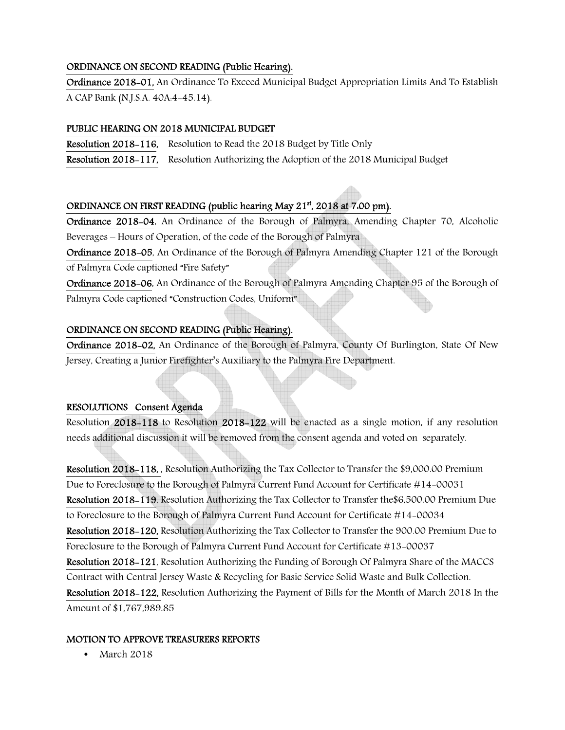## ORDINANCE ON SECOND READING (Public Hearing).

Ordinance 2018-01, An Ordinance To Exceed Municipal Budget Appropriation Limits And To Establish A CAP Bank (N.J.S.A. 40A:4-45.14).

## PUBLIC HEARING ON 2018 MUNICIPAL BUDGET

Resolution 2018-116, Resolution to Read the 2018 Budget by Title Only

Resolution 2018-117, Resolution Authorizing the Adoption of the 2018 Municipal Budget

# ORDINANCE ON FIRST READING (public hearing May 21<sup>st</sup>, 2018 at 7.00 pm).

Ordinance 2018-04, An Ordinance of the Borough of Palmyra, Amending Chapter 70, Alcoholic Beverages – Hours of Operation, of the code of the Borough of Palmyra

Ordinance 2018-05, An Ordinance of the Borough of Palmyra Amending Chapter 121 of the Borough of Palmyra Code captioned "Fire Safety"

Ordinance 2018-06, An Ordinance of the Borough of Palmyra Amending Chapter 95 of the Borough of Palmyra Code captioned "Construction Codes, Uniform"

## ORDINANCE ON SECOND READING (Public Hearing).

Ordinance 2018-02, An Ordinance of the Borough of Palmyra, County Of Burlington, State Of New Jersey, Creating a Junior Firefighter's Auxiliary to the Palmyra Fire Department.

## RESOLUTIONS Consent Agenda

Resolution 2018-118 to Resolution 2018-122 will be enacted as a single motion, if any resolution needs additional discussion it will be removed from the consent agenda and voted on separately.

Resolution 2018-118, , Resolution Authorizing the Tax Collector to Transfer the \$9,000.00 Premium Due to Foreclosure to the Borough of Palmyra Current Fund Account for Certificate #14-00031 Resolution 2018-119, Resolution Authorizing the Tax Collector to Transfer the\$6,500.00 Premium Due to Foreclosure to the Borough of Palmyra Current Fund Account for Certificate #14-00034 Resolution 2018-120, Resolution Authorizing the Tax Collector to Transfer the 900.00 Premium Due to Foreclosure to the Borough of Palmyra Current Fund Account for Certificate #13-00037 Resolution 2018-121, Resolution Authorizing the Funding of Borough Of Palmyra Share of the MACCS Contract with Central Jersey Waste & Recycling for Basic Service Solid Waste and Bulk Collection. Resolution 2018-122, Resolution Authorizing the Payment of Bills for the Month of March 2018 In the Amount of \$1,767,989.85

## MOTION TO APPROVE TREASURERS REPORTS

• March 2018